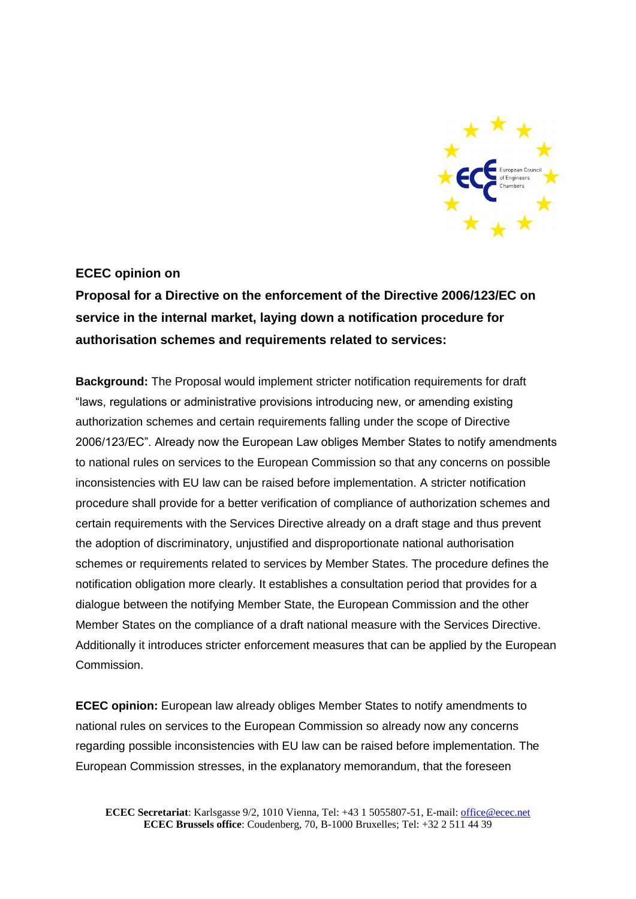

## **ECEC opinion on**

**Proposal for a Directive on the enforcement of the Directive 2006/123/EC on service in the internal market, laying down a notification procedure for authorisation schemes and requirements related to services:**

**Background:** The Proposal would implement stricter notification requirements for draft "laws, regulations or administrative provisions introducing new, or amending existing authorization schemes and certain requirements falling under the scope of Directive 2006/123/EC". Already now the European Law obliges Member States to notify amendments to national rules on services to the European Commission so that any concerns on possible inconsistencies with EU law can be raised before implementation. A stricter notification procedure shall provide for a better verification of compliance of authorization schemes and certain requirements with the Services Directive already on a draft stage and thus prevent the adoption of discriminatory, unjustified and disproportionate national authorisation schemes or requirements related to services by Member States. The procedure defines the notification obligation more clearly. It establishes a consultation period that provides for a dialogue between the notifying Member State, the European Commission and the other Member States on the compliance of a draft national measure with the Services Directive. Additionally it introduces stricter enforcement measures that can be applied by the European Commission.

**ECEC opinion:** European law already obliges Member States to notify amendments to national rules on services to the European Commission so already now any concerns regarding possible inconsistencies with EU law can be raised before implementation. The European Commission stresses, in the explanatory memorandum, that the foreseen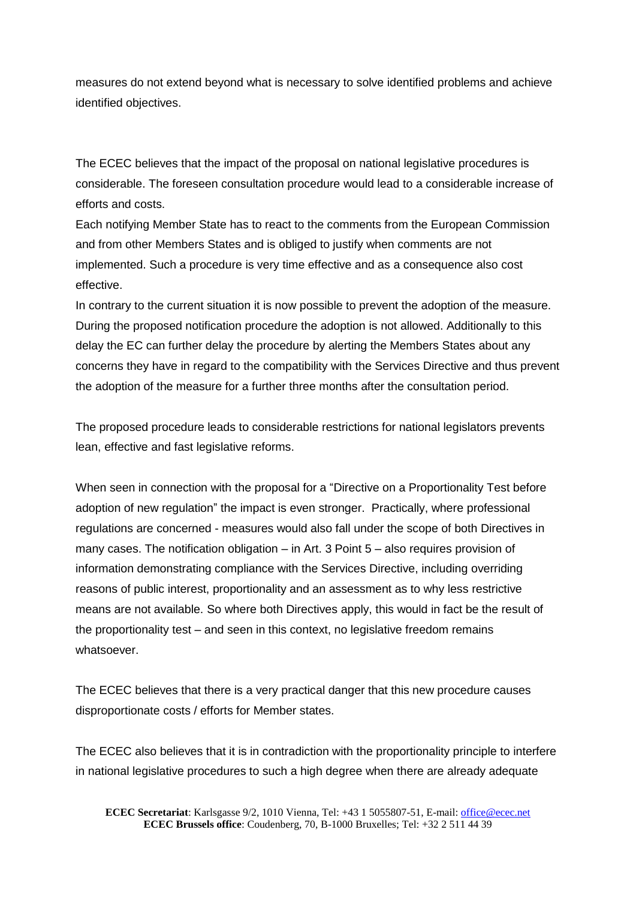measures do not extend beyond what is necessary to solve identified problems and achieve identified objectives.

The ECEC believes that the impact of the proposal on national legislative procedures is considerable. The foreseen consultation procedure would lead to a considerable increase of efforts and costs.

Each notifying Member State has to react to the comments from the European Commission and from other Members States and is obliged to justify when comments are not implemented. Such a procedure is very time effective and as a consequence also cost effective.

In contrary to the current situation it is now possible to prevent the adoption of the measure. During the proposed notification procedure the adoption is not allowed. Additionally to this delay the EC can further delay the procedure by alerting the Members States about any concerns they have in regard to the compatibility with the Services Directive and thus prevent the adoption of the measure for a further three months after the consultation period.

The proposed procedure leads to considerable restrictions for national legislators prevents lean, effective and fast legislative reforms.

When seen in connection with the proposal for a "Directive on a Proportionality Test before adoption of new regulation" the impact is even stronger. Practically, where professional regulations are concerned - measures would also fall under the scope of both Directives in many cases. The notification obligation – in Art. 3 Point 5 – also requires provision of information demonstrating compliance with the Services Directive, including overriding reasons of public interest, proportionality and an assessment as to why less restrictive means are not available. So where both Directives apply, this would in fact be the result of the proportionality test – and seen in this context, no legislative freedom remains whatsoever.

The ECEC believes that there is a very practical danger that this new procedure causes disproportionate costs / efforts for Member states.

The ECEC also believes that it is in contradiction with the proportionality principle to interfere in national legislative procedures to such a high degree when there are already adequate